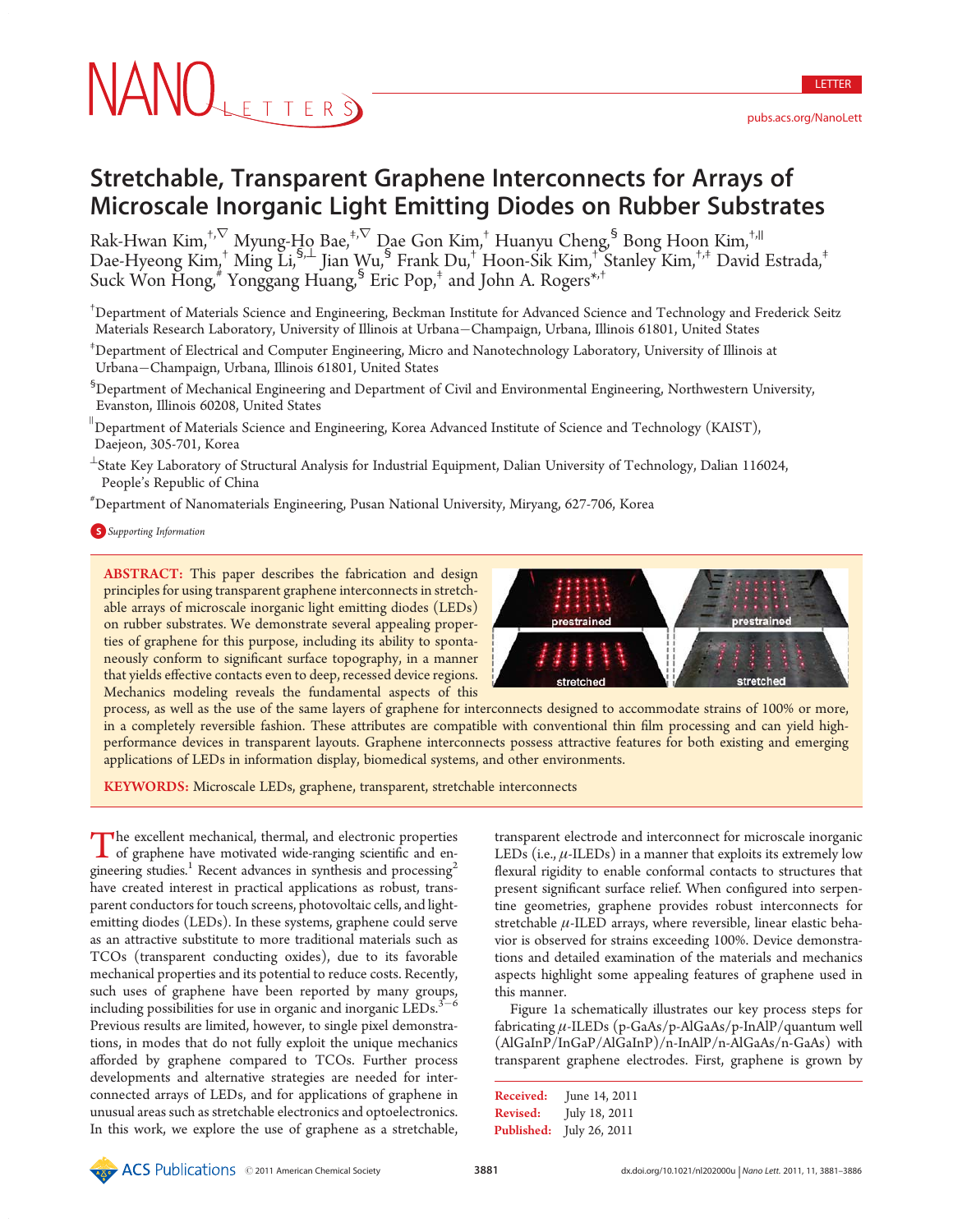LETTER

# Stretchable, Transparent Graphene Interconnects for Arrays of Microscale Inorganic Light Emitting Diodes on Rubber Substrates

Rak-Hwan Kim, $^{\dagger,\nabla}$  Myung-Ho Bae, $^{\dagger,\nabla}$  Dae Gon Kim, $^\dagger$  Huanyu Cheng, $^{\mathsf{S}}$  Bong Hoon Kim, $^{\dagger,\mathsf{II}}$ Dae-Hyeong Kim,† Ming Li,§,^ Jian Wu,§ Frank Du,† Hoon-Sik Kim,† Stanley Kim,†,‡ David Estrada,‡ Suck Won Hong,  $\frac{4}{3}$  Yonggang Huang,  $\frac{5}{3}$  Eric Pop,<sup> $\frac{1}{7}$ </sup> and John A. Rogers<sup>\*,†</sup>

† Department of Materials Science and Engineering, Beckman Institute for Advanced Science and Technology and Frederick Seitz Materials Research Laboratory, University of Illinois at Urbana-Champaign, Urbana, Illinois 61801, United States

‡ Department of Electrical and Computer Engineering, Micro and Nanotechnology Laboratory, University of Illinois at Urbana-Champaign, Urbana, Illinois 61801, United States

 $^{\rm 5}$ Department of Mechanical Engineering and Department of Civil and Environmental Engineering, Northwestern University, Evanston, Illinois 60208, United States

 $^{\text{\tiny{II}}}$ Department of Materials Science and Engineering, Korea Advanced Institute of Science and Technology (KAIST), Daejeon, 305-701, Korea

 $^\perp$ State Key Laboratory of Structural Analysis for Industrial Equipment, Dalian University of Technology, Dalian 116024, People's Republic of China

# Department of Nanomaterials Engineering, Pusan National University, Miryang, 627-706, Korea

**S** Supporting Information

ABSTRACT: This paper describes the fabrication and design principles for using transparent graphene interconnects in stretchable arrays of microscale inorganic light emitting diodes (LEDs) on rubber substrates. We demonstrate several appealing properties of graphene for this purpose, including its ability to spontaneously conform to significant surface topography, in a manner that yields effective contacts even to deep, recessed device regions. Mechanics modeling reveals the fundamental aspects of this



process, as well as the use of the same layers of graphene for interconnects designed to accommodate strains of 100% or more, in a completely reversible fashion. These attributes are compatible with conventional thin film processing and can yield highperformance devices in transparent layouts. Graphene interconnects possess attractive features for both existing and emerging applications of LEDs in information display, biomedical systems, and other environments.

KEYWORDS: Microscale LEDs, graphene, transparent, stretchable interconnects

The excellent mechanical, thermal, and electronic properties<br>of graphene have motivated wide-ranging scientific and engineering studies.<sup>1</sup> Recent advances in synthesis and processing<sup>2</sup> have created interest in practical applications as robust, transparent conductors for touch screens, photovoltaic cells, and lightemitting diodes (LEDs). In these systems, graphene could serve as an attractive substitute to more traditional materials such as TCOs (transparent conducting oxides), due to its favorable mechanical properties and its potential to reduce costs. Recently, such uses of graphene have been reported by many groups, including possibilities for use in organic and inorganic  $\mathrm{LEDs.}^{3-6}$ Previous results are limited, however, to single pixel demonstrations, in modes that do not fully exploit the unique mechanics afforded by graphene compared to TCOs. Further process developments and alternative strategies are needed for interconnected arrays of LEDs, and for applications of graphene in unusual areas such as stretchable electronics and optoelectronics. In this work, we explore the use of graphene as a stretchable,

transparent electrode and interconnect for microscale inorganic LEDs (i.e.,  $\mu$ -ILEDs) in a manner that exploits its extremely low flexural rigidity to enable conformal contacts to structures that present significant surface relief. When configured into serpentine geometries, graphene provides robust interconnects for stretchable  $\mu$ -ILED arrays, where reversible, linear elastic behavior is observed for strains exceeding 100%. Device demonstrations and detailed examination of the materials and mechanics aspects highlight some appealing features of graphene used in this manner.

Figure 1a schematically illustrates our key process steps for fabricating μ-ILEDs (p-GaAs/p-AlGaAs/p-InAlP/quantum well (AlGaInP/InGaP/AlGaInP)/n-InAlP/n-AlGaAs/n-GaAs) with transparent graphene electrodes. First, graphene is grown by

| Received:  | June 14, 2011 |
|------------|---------------|
| Revised:   | July 18, 2011 |
| Published: | July 26, 2011 |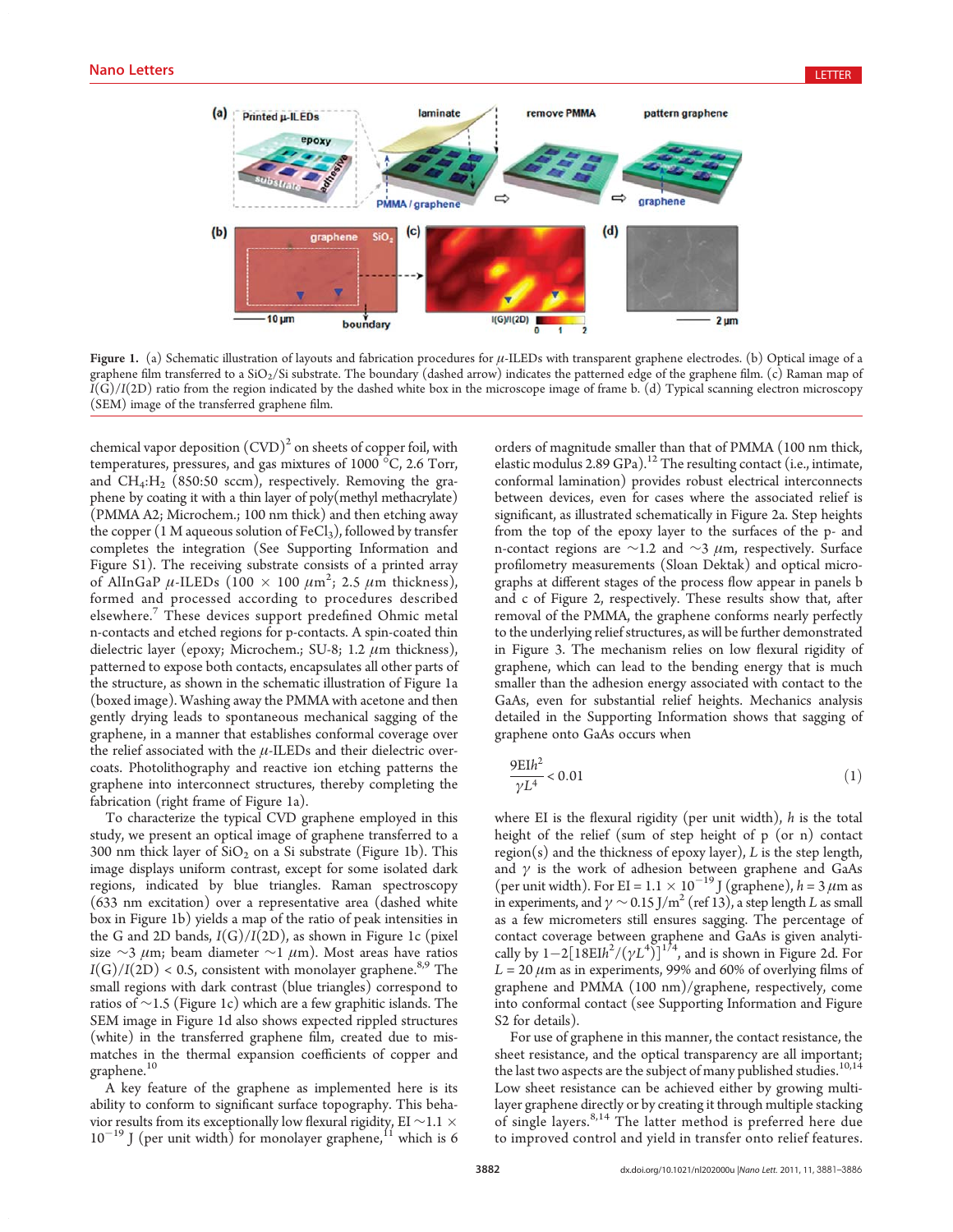

Figure 1. (a) Schematic illustration of layouts and fabrication procedures for  $\mu$ -ILEDs with transparent graphene electrodes. (b) Optical image of a graphene film transferred to a SiO<sub>2</sub>/Si substrate. The boundary (dashed arrow) indicates the patterned edge of the graphene film. (c) Raman map of  $I(G)/I(2D)$  ratio from the region indicated by the dashed white box in the microscope image of frame b. (d) Typical scanning electron microscopy (SEM) image of the transferred graphene film.

chemical vapor deposition  $(CVD)^2$  on sheets of copper foil, with temperatures, pressures, and gas mixtures of 1000 °C, 2.6 Torr, and  $CH_4: H_2$  (850:50 sccm), respectively. Removing the graphene by coating it with a thin layer of poly(methyl methacrylate) (PMMA A2; Microchem.; 100 nm thick) and then etching away the copper (1 M aqueous solution of  $FeCl<sub>3</sub>$ ), followed by transfer completes the integration (See Supporting Information and Figure S1). The receiving substrate consists of a printed array of AlInGaP  $\mu$ -ILEDs (100  $\times$  100  $\mu$ m<sup>2</sup>; 2.5  $\mu$ m thickness), formed and processed according to procedures described elsewhere.<sup>7</sup> These devices support predefined Ohmic metal n-contacts and etched regions for p-contacts. A spin-coated thin dielectric layer (epoxy; Microchem.; SU-8; 1.2  $\mu$ m thickness), patterned to expose both contacts, encapsulates all other parts of the structure, as shown in the schematic illustration of Figure 1a (boxed image). Washing away the PMMA with acetone and then gently drying leads to spontaneous mechanical sagging of the graphene, in a manner that establishes conformal coverage over the relief associated with the  $\mu$ -ILEDs and their dielectric overcoats. Photolithography and reactive ion etching patterns the graphene into interconnect structures, thereby completing the fabrication (right frame of Figure 1a).

To characterize the typical CVD graphene employed in this study, we present an optical image of graphene transferred to a 300 nm thick layer of  $SiO<sub>2</sub>$  on a Si substrate (Figure 1b). This image displays uniform contrast, except for some isolated dark regions, indicated by blue triangles. Raman spectroscopy (633 nm excitation) over a representative area (dashed white box in Figure 1b) yields a map of the ratio of peak intensities in the G and 2D bands,  $I(G)/I(2D)$ , as shown in Figure 1c (pixel) size ∼3  $\mu$ m; beam diameter ∼1  $\mu$ m). Most areas have ratios  $I(G)/I(2D) < 0.5$ , consistent with monolayer graphene.<sup>8,9</sup> The small regions with dark contrast (blue triangles) correspond to ratios of ∼1.5 (Figure 1c) which are a few graphitic islands. The SEM image in Figure 1d also shows expected rippled structures (white) in the transferred graphene film, created due to mismatches in the thermal expansion coefficients of copper and graphene.<sup>10</sup>

A key feature of the graphene as implemented here is its ability to conform to significant surface topography. This behavior results from its exceptionally low flexural rigidity, EI <sup>∼</sup>1.1  $10^{-19}$  J (per unit width) for monolayer graphene,  $11$  which is 6

orders of magnitude smaller than that of PMMA (100 nm thick, elastic modulus 2.89 GPa).<sup>12</sup> The resulting contact (i.e., intimate, conformal lamination) provides robust electrical interconnects between devices, even for cases where the associated relief is significant, as illustrated schematically in Figure 2a. Step heights from the top of the epoxy layer to the surfaces of the p- and n-contact regions are ∼1.2 and ∼3 μm, respectively. Surface profilometry measurements (Sloan Dektak) and optical micrographs at different stages of the process flow appear in panels b and c of Figure 2, respectively. These results show that, after removal of the PMMA, the graphene conforms nearly perfectly to the underlying relief structures, as will be further demonstrated in Figure 3. The mechanism relies on low flexural rigidity of graphene, which can lead to the bending energy that is much smaller than the adhesion energy associated with contact to the GaAs, even for substantial relief heights. Mechanics analysis detailed in the Supporting Information shows that sagging of graphene onto GaAs occurs when

$$
\frac{9E1h^2}{\gamma L^4} < 0.01\tag{1}
$$

where EI is the flexural rigidity (per unit width),  $h$  is the total height of the relief (sum of step height of p (or n) contact  $region(s)$  and the thickness of epoxy layer),  $L$  is the step length, and  $\gamma$  is the work of adhesion between graphene and GaAs (per unit width). For EI =  $1.1 \times 10^{-19}$  J (graphene),  $h = 3 \mu$ m as in experiments, and  $\gamma \sim 0.15 \,\mathrm{J/m^2}$  (ref 13), a step length L as small as a few micrometers still ensures sagging. The percentage of contact coverage between graphene and GaAs is given analytically by  $1-2[18E1h^2/(\gamma L^4)]^{1/4}$ , and is shown in Figure 2d. For  $L = 20 \mu m$  as in experiments, 99% and 60% of overlying films of graphene and PMMA (100 nm)/graphene, respectively, come into conformal contact (see Supporting Information and Figure S2 for details).

For use of graphene in this manner, the contact resistance, the sheet resistance, and the optical transparency are all important; the last two aspects are the subject of many published studies.  $^{10,14}$ Low sheet resistance can be achieved either by growing multilayer graphene directly or by creating it through multiple stacking of single layers.<sup>8,14</sup> The latter method is preferred here due to improved control and yield in transfer onto relief features.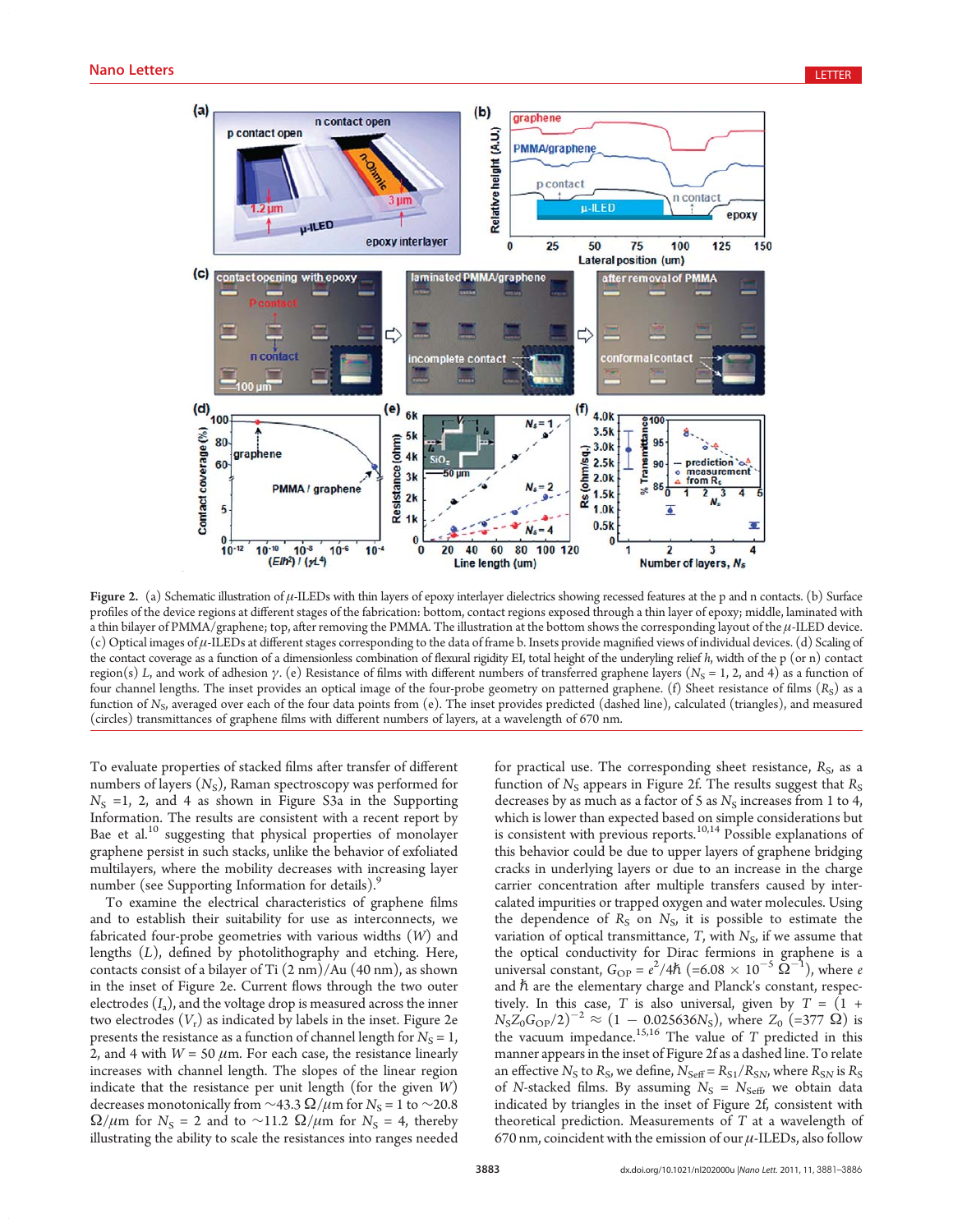

Figure 2. (a) Schematic illustration of  $\mu$ -ILEDs with thin layers of epoxy interlayer dielectrics showing recessed features at the p and n contacts. (b) Surface profiles of the device regions at different stages of the fabrication: bottom, contact regions exposed through a thin layer of epoxy; middle, laminated with a thin bilayer of PMMA/graphene; top, after removing the PMMA. The illustration at the bottom shows the corresponding layout of the μ-ILED device. (c) Optical images of μ-ILEDs at different stages corresponding to the data of frame b. Insets provide magnified views of individual devices. (d) Scaling of the contact coverage as a function of a dimensionless combination of flexural rigidity EI, total height of the underyling relief  $h$ , width of the p (or n) contact region(s) L, and work of adhesion γ. (e) Resistance of films with different numbers of transferred graphene layers (N<sub>S</sub> = 1, 2, and 4) as a function of four channel lengths. The inset provides an optical image of the four-probe geometry on patterned graphene. (f) Sheet resistance of films  $(R<sub>S</sub>)$  as a function of  $N_{\rm s}$ , averaged over each of the four data points from (e). The inset provides predicted (dashed line), calculated (triangles), and measured (circles) transmittances of graphene films with different numbers of layers, at a wavelength of 670 nm.

To evaluate properties of stacked films after transfer of different numbers of layers  $(N<sub>S</sub>)$ , Raman spectroscopy was performed for  $N<sub>S</sub> =1$ , 2, and 4 as shown in Figure S3a in the Supporting Information. The results are consistent with a recent report by Bae et al.<sup>10</sup> suggesting that physical properties of monolayer graphene persist in such stacks, unlike the behavior of exfoliated multilayers, where the mobility decreases with increasing layer number (see Supporting Information for details).<sup>9</sup>

To examine the electrical characteristics of graphene films and to establish their suitability for use as interconnects, we fabricated four-probe geometries with various widths (W) and lengths (L), defined by photolithography and etching. Here, contacts consist of a bilayer of Ti (2 nm)/Au (40 nm), as shown in the inset of Figure 2e. Current flows through the two outer electrodes  $(I_a)$ , and the voltage drop is measured across the inner two electrodes  $(V_r)$  as indicated by labels in the inset. Figure 2e presents the resistance as a function of channel length for  $N_s = 1$ , 2, and 4 with  $W = 50 \mu m$ . For each case, the resistance linearly increases with channel length. The slopes of the linear region indicate that the resistance per unit length (for the given  $W$ ) decreases monotonically from  $\sim$ 43.3  $\Omega/\mu$ m for N<sub>S</sub> = 1 to  $\sim$ 20.8  $\Omega/\mu$ m for N<sub>S</sub> = 2 and to ~11.2  $\Omega/\mu$ m for N<sub>S</sub> = 4, thereby illustrating the ability to scale the resistances into ranges needed for practical use. The corresponding sheet resistance,  $R<sub>S</sub>$ , as a function of  $N<sub>S</sub>$  appears in Figure 2f. The results suggest that  $R<sub>S</sub>$ decreases by as much as a factor of 5 as  $N<sub>S</sub>$  increases from 1 to 4, which is lower than expected based on simple considerations but is consistent with previous reports.<sup>10,14</sup> Possible explanations of this behavior could be due to upper layers of graphene bridging cracks in underlying layers or due to an increase in the charge carrier concentration after multiple transfers caused by intercalated impurities or trapped oxygen and water molecules. Using the dependence of  $R_S$  on  $N_S$ , it is possible to estimate the variation of optical transmittance, T, with  $N_{\rm S}$ , if we assume that the optical conductivity for Dirac fermions in graphene is a universal constant,  $G_{\text{OP}} = e^2/4\hbar \ (=6.08 \times 10^{-5} \,\Omega^{-1})$ , where e and  $\hbar$  are the elementary charge and Planck's constant, respectively. In this case, T is also universal, given by  $T = (1 +$  $N_S Z_0 G_{\text{OP}}/2$ <sup>-2</sup>  $\approx (1 - 0.025636 N_S)$ , where  $Z_0$  (=377  $\Omega$ ) is the vacuum impedance.<sup>15,16</sup> The value of  $T$  predicted in this manner appears in the inset of Figure 2f as a dashed line. To relate an effective  $N_S$  to  $R_S$ , we define,  $N_{\text{Self}} = R_{S1}/R_{SN}$ , where  $R_{SN}$  is  $R_S$ of N-stacked films. By assuming  $N_S = N_{\text{Self}}$ , we obtain data indicated by triangles in the inset of Figure 2f, consistent with theoretical prediction. Measurements of  $T$  at a wavelength of 670 nm, coincident with the emission of our  $\mu$ -ILEDs, also follow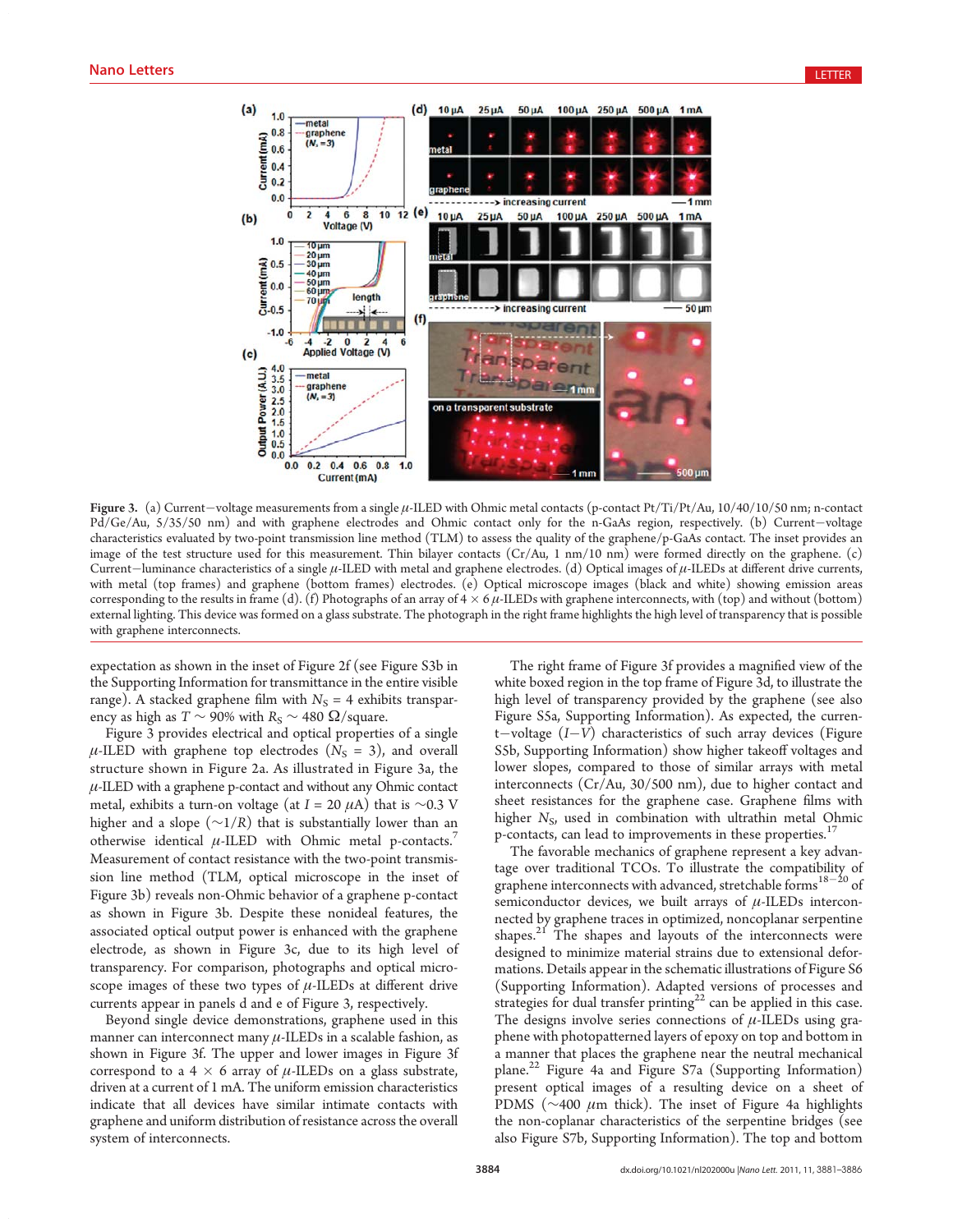

Figure 3. (a) Current-voltage measurements from a single μ-ILED with Ohmic metal contacts (p-contact Pt/Ti/Pt/Au, 10/40/10/50 nm; n-contact Pd/Ge/Au, 5/35/50 nm) and with graphene electrodes and Ohmic contact only for the n-GaAs region, respectively. (b) Current-voltage characteristics evaluated by two-point transmission line method (TLM) to assess the quality of the graphene/p-GaAs contact. The inset provides an image of the test structure used for this measurement. Thin bilayer contacts (Cr/Au, 1 nm/10 nm) were formed directly on the graphene. (c) Current-luminance characteristics of a single  $\mu$ -ILED with metal and graphene electrodes. (d) Optical images of  $\mu$ -ILEDs at different drive currents, with metal (top frames) and graphene (bottom frames) electrodes. (e) Optical microscope images (black and white) showing emission areas corresponding to the results in frame (d). (f) Photographs of an array of  $4 \times 6 \mu$ -ILEDs with graphene interconnects, with (top) and without (bottom) external lighting. This device was formed on a glass substrate. The photograph in the right frame highlights the high level of transparency that is possible with graphene interconnects.

expectation as shown in the inset of Figure 2f (see Figure S3b in the Supporting Information for transmittance in the entire visible range). A stacked graphene film with  $N<sub>S</sub> = 4$  exhibits transparency as high as  $T \sim 90\%$  with  $R_S \sim 480 \Omega/s$  quare.

Figure 3 provides electrical and optical properties of a single  $\mu$ -ILED with graphene top electrodes ( $N_{\rm s}$  = 3), and overall structure shown in Figure 2a. As illustrated in Figure 3a, the  $\mu$ -ILED with a graphene p-contact and without any Ohmic contact metal, exhibits a turn-on voltage (at  $I = 20 \mu A$ ) that is ∼0.3 V higher and a slope ( $\sim$ 1/R) that is substantially lower than an otherwise identical  $\mu$ -ILED with Ohmic metal p-contacts.<sup>7</sup> Measurement of contact resistance with the two-point transmission line method (TLM, optical microscope in the inset of Figure 3b) reveals non-Ohmic behavior of a graphene p-contact as shown in Figure 3b. Despite these nonideal features, the associated optical output power is enhanced with the graphene electrode, as shown in Figure 3c, due to its high level of transparency. For comparison, photographs and optical microscope images of these two types of  $\mu$ -ILEDs at different drive currents appear in panels d and e of Figure 3, respectively.

Beyond single device demonstrations, graphene used in this manner can interconnect many  $\mu$ -ILEDs in a scalable fashion, as shown in Figure 3f. The upper and lower images in Figure 3f correspond to a 4  $\times$  6 array of  $\mu$ -ILEDs on a glass substrate, driven at a current of 1 mA. The uniform emission characteristics indicate that all devices have similar intimate contacts with graphene and uniform distribution of resistance across the overall system of interconnects.

The right frame of Figure 3f provides a magnified view of the white boxed region in the top frame of Figure 3d, to illustrate the high level of transparency provided by the graphene (see also Figure S5a, Supporting Information). As expected, the current-voltage (I-V) characteristics of such array devices (Figure S5b, Supporting Information) show higher takeoff voltages and lower slopes, compared to those of similar arrays with metal interconnects (Cr/Au, 30/500 nm), due to higher contact and sheet resistances for the graphene case. Graphene films with higher  $N_{\rm S}$ , used in combination with ultrathin metal Ohmic p-contacts, can lead to improvements in these properties.<sup>17</sup>

The favorable mechanics of graphene represent a key advantage over traditional TCOs. To illustrate the compatibility of graphene interconnects with advanced, stretchable forms $18-20$  of semiconductor devices, we built arrays of  $\mu$ -ILEDs interconnected by graphene traces in optimized, noncoplanar serpentine shapes.<sup>21</sup> The shapes and layouts of the interconnects were designed to minimize material strains due to extensional deformations. Details appear in the schematic illustrations of Figure S6 (Supporting Information). Adapted versions of processes and strategies for dual transfer printing<sup>22</sup> can be applied in this case. The designs involve series connections of  $\mu$ -ILEDs using graphene with photopatterned layers of epoxy on top and bottom in a manner that places the graphene near the neutral mechanical plane.<sup>22</sup> Figure 4a and Figure S7a (Supporting Information) present optical images of a resulting device on a sheet of PDMS ( $\sim$ 400  $\mu$ m thick). The inset of Figure 4a highlights the non-coplanar characteristics of the serpentine bridges (see also Figure S7b, Supporting Information). The top and bottom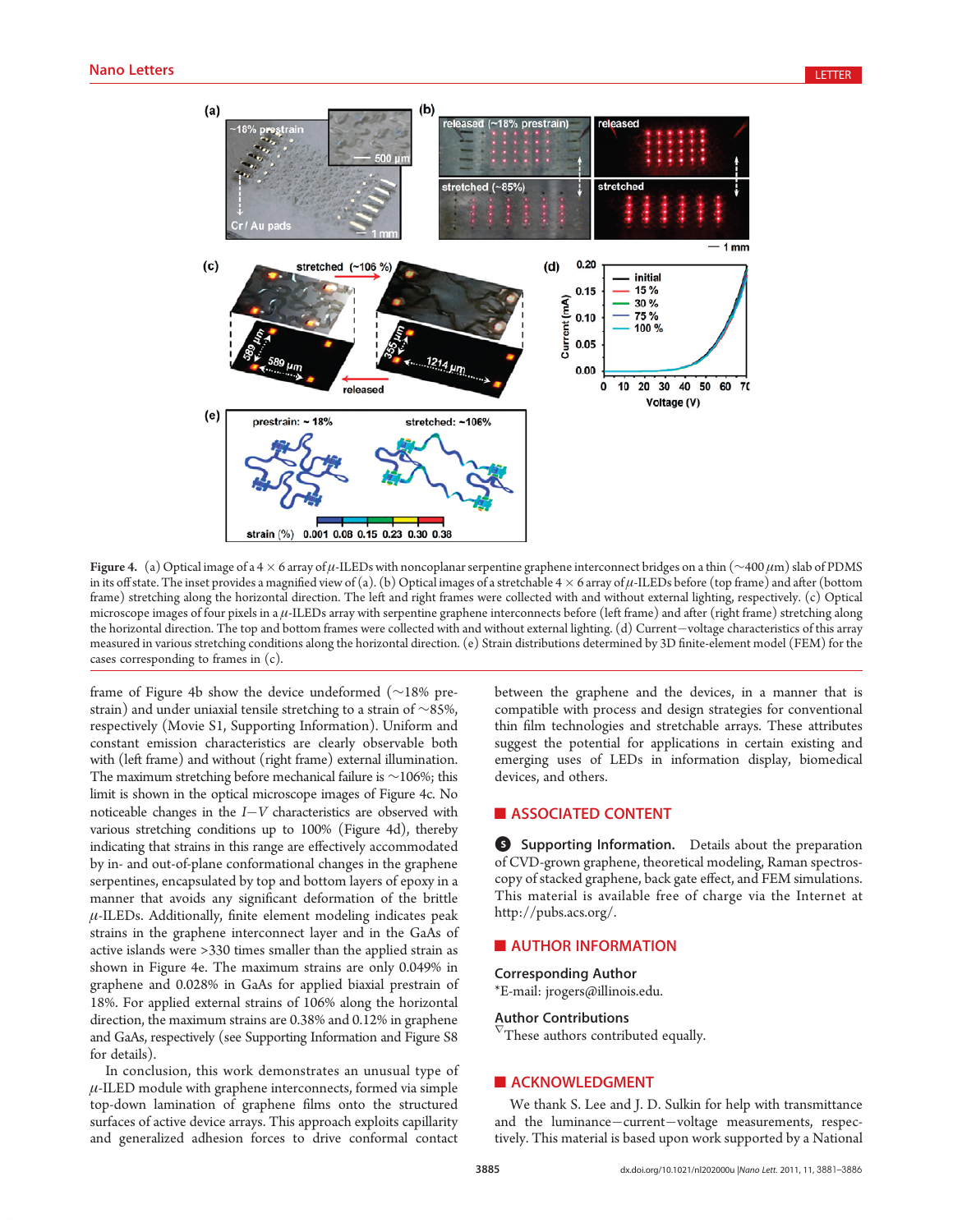

Figure 4. (a) Optical image of a 4  $\times$  6 array of  $\mu$ -ILEDs with noncoplanar serpentine graphene interconnect bridges on a thin (~400  $\mu$ m) slab of PDMS in its off state. The inset provides a magnified view of (a). (b) Optical images of a stretchable  $4 \times 6$  array of  $\mu$ -ILEDs before (top frame) and after (bottom frame) stretching along the horizontal direction. The left and right frames were collected with and without external lighting, respectively. (c) Optical microscope images of four pixels in a μ-ILEDs array with serpentine graphene interconnects before (left frame) and after (right frame) stretching along the horizontal direction. The top and bottom frames were collected with and without external lighting. (d) Current-voltage characteristics of this array measured in various stretching conditions along the horizontal direction. (e) Strain distributions determined by 3D finite-element model (FEM) for the cases corresponding to frames in (c).

frame of Figure 4b show the device undeformed (∼18% prestrain) and under uniaxial tensile stretching to a strain of ∼85%, respectively (Movie S1, Supporting Information). Uniform and constant emission characteristics are clearly observable both with (left frame) and without (right frame) external illumination. The maximum stretching before mechanical failure is ∼106%; this limit is shown in the optical microscope images of Figure 4c. No noticeable changes in the  $I-V$  characteristics are observed with various stretching conditions up to 100% (Figure 4d), thereby indicating that strains in this range are effectively accommodated by in- and out-of-plane conformational changes in the graphene serpentines, encapsulated by top and bottom layers of epoxy in a manner that avoids any significant deformation of the brittle  $\mu$ -ILEDs. Additionally, finite element modeling indicates peak strains in the graphene interconnect layer and in the GaAs of active islands were >330 times smaller than the applied strain as shown in Figure 4e. The maximum strains are only 0.049% in graphene and 0.028% in GaAs for applied biaxial prestrain of 18%. For applied external strains of 106% along the horizontal direction, the maximum strains are 0.38% and 0.12% in graphene and GaAs, respectively (see Supporting Information and Figure S8 for details).

In conclusion, this work demonstrates an unusual type of  $\mu$ -ILED module with graphene interconnects, formed via simple top-down lamination of graphene films onto the structured surfaces of active device arrays. This approach exploits capillarity and generalized adhesion forces to drive conformal contact

between the graphene and the devices, in a manner that is compatible with process and design strategies for conventional thin film technologies and stretchable arrays. These attributes suggest the potential for applications in certain existing and emerging uses of LEDs in information display, biomedical devices, and others.

# **ASSOCIATED CONTENT**

**6** Supporting Information. Details about the preparation of CVD-grown graphene, theoretical modeling, Raman spectroscopy of stacked graphene, back gate effect, and FEM simulations. This material is available free of charge via the Internet at http://pubs.acs.org/.

### **NO AUTHOR INFORMATION**

Corresponding Author

\*E-mail: jrogers@illinois.edu.

# Author Contributions

These authors contributed equally.

#### **ACKNOWLEDGMENT**

We thank S. Lee and J. D. Sulkin for help with transmittance and the luminance-current-voltage measurements, respectively. This material is based upon work supported by a National